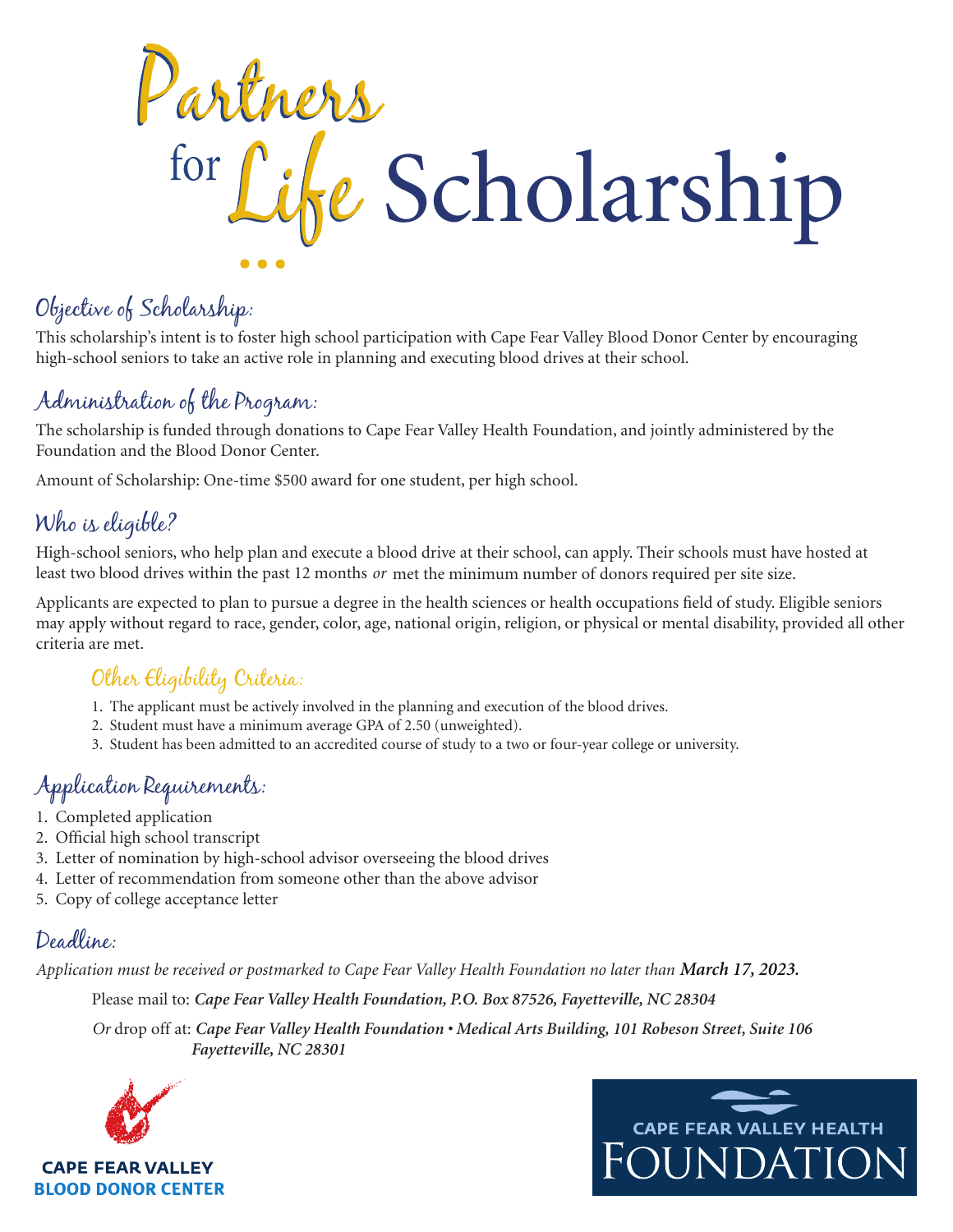Partners for Like Scholarship

# Objective of Scholarship:

This scholarship's intent is to foster high school participation with Cape Fear Valley Blood Donor Center by encouraging high-school seniors to take an active role in planning and executing blood drives at their school.

# Administration of the Program:

The scholarship is funded through donations to Cape Fear Valley Health Foundation, and jointly administered by the Foundation and the Blood Donor Center.

Amount of Scholarship: One-time \$500 award for one student, per high school.

# Who is eligible?

High-school seniors, who help plan and execute a blood drive at their school, can apply. Their schools must have hosted at least two blood drives within the past 12 months *or* met the minimum number of donors required per site size.

Applicants are expected to plan to pursue a degree in the health sciences or health occupations field of study. Eligible seniors may apply without regard to race, gender, color, age, national origin, religion, or physical or mental disability, provided all other criteria are met.

### Other Eligibility Criteria:

- 1. The applicant must be actively involved in the planning and execution of the blood drives.
- 2. Student must have a minimum average GPA of 2.50 (unweighted).
- 3. Student has been admitted to an accredited course of study to a two or four-year college or university.

## Application Requirements:

- 1. Completed application
- 2. Official high school transcript
- 3. Letter of nomination by high-school advisor overseeing the blood drives
- 4. Letter of recommendation from someone other than the above advisor
- 5. Copy of college acceptance letter

### Deadline:

Application must be received or postmarked to Cape Fear Valley Health Foundation no later than March 17, 2023.

Please mail to: *Cape Fear Valley Health Foundation, P.O. Box 87526, Fayetteville, NC 28304*

*Or* drop off at: *Cape Fear Valley Health Foundation • Medical Arts Building, 101 Robeson Street, Suite 106 Fayetteville, NC 28301*